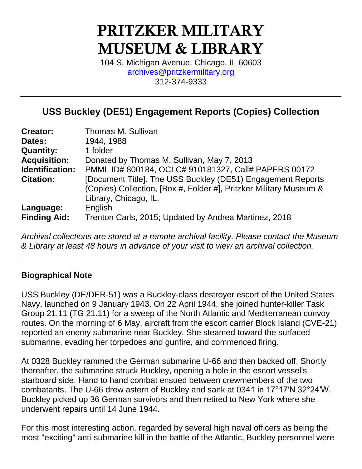# PRITZKER MILITARY MUSEUM & LIBRARY

104 S. Michigan Avenue, Chicago, IL 60603 [archives@pritzkermilitary.org](mailto:archives@pritzkermilitary.org) 312-374-9333

# **USS Buckley (DE51) Engagement Reports (Copies) Collection**

| <b>Creator:</b>        | Thomas M. Sullivan                                                                                                                                         |
|------------------------|------------------------------------------------------------------------------------------------------------------------------------------------------------|
| Dates:                 | 1944, 1988                                                                                                                                                 |
| <b>Quantity:</b>       | 1 folder                                                                                                                                                   |
| <b>Acquisition:</b>    | Donated by Thomas M. Sullivan, May 7, 2013                                                                                                                 |
| <b>Identification:</b> | PMML ID# 800184, OCLC# 910181327, Call# PAPERS 00172                                                                                                       |
| <b>Citation:</b>       | [Document Title]. The USS Buckley (DE51) Engagement Reports<br>(Copies) Collection, [Box #, Folder #], Pritzker Military Museum &<br>Library, Chicago, IL. |
| Language:              | English                                                                                                                                                    |
| <b>Finding Aid:</b>    | Trenton Carls, 2015; Updated by Andrea Martinez, 2018                                                                                                      |

*Archival collections are stored at a remote archival facility. Please contact the Museum & Library at least 48 hours in advance of your visit to view an archival collection.*

# **Biographical Note**

USS Buckley (DE/DER-51) was a Buckley-class destroyer escort of the United States Navy, launched on 9 January 1943. On 22 April 1944, she joined hunter-killer Task Group 21.11 (TG 21.11) for a sweep of the North Atlantic and Mediterranean convoy routes. On the morning of 6 May, aircraft from the escort carrier Block Island (CVE-21) reported an enemy submarine near Buckley. She steamed toward the surfaced submarine, evading her torpedoes and gunfire, and commenced firing.

At 0328 Buckley rammed the German submarine U-66 and then backed off. Shortly thereafter, the submarine struck Buckley, opening a hole in the escort vessel's starboard side. Hand to hand combat ensued between crewmembers of the two combatants. The U-66 drew astern of Buckley and sank at 0341 in 17°17′N 32°24′W. Buckley picked up 36 German survivors and then retired to New York where she underwent repairs until 14 June 1944.

For this most interesting action, regarded by several high naval officers as being the most "exciting" anti-submarine kill in the battle of the Atlantic, Buckley personnel were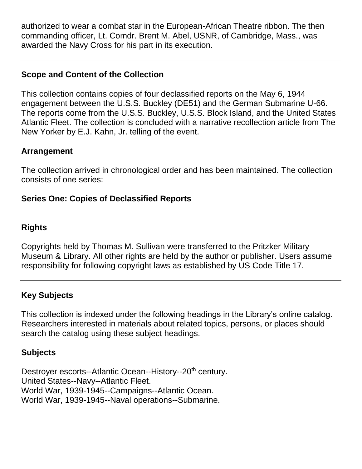authorized to wear a combat star in the European-African Theatre ribbon. The then commanding officer, Lt. Comdr. Brent M. Abel, USNR, of Cambridge, Mass., was awarded the Navy Cross for his part in its execution.

# **Scope and Content of the Collection**

This collection contains copies of four declassified reports on the May 6, 1944 engagement between the U.S.S. Buckley (DE51) and the German Submarine U-66. The reports come from the U.S.S. Buckley, U.S.S. Block Island, and the United States Atlantic Fleet. The collection is concluded with a narrative recollection article from The New Yorker by E.J. Kahn, Jr. telling of the event.

#### **Arrangement**

The collection arrived in chronological order and has been maintained. The collection consists of one series:

#### **Series One: Copies of Declassified Reports**

# **Rights**

Copyrights held by Thomas M. Sullivan were transferred to the Pritzker Military Museum & Library. All other rights are held by the author or publisher. Users assume responsibility for following copyright laws as established by US Code Title 17.

# **Key Subjects**

This collection is indexed under the following headings in the Library's online catalog. Researchers interested in materials about related topics, persons, or places should search the catalog using these subject headings.

# **Subjects**

Destroyer escorts--Atlantic Ocean--History--20<sup>th</sup> century. United States--Navy--Atlantic Fleet. World War, 1939-1945--Campaigns--Atlantic Ocean. World War, 1939-1945--Naval operations--Submarine.